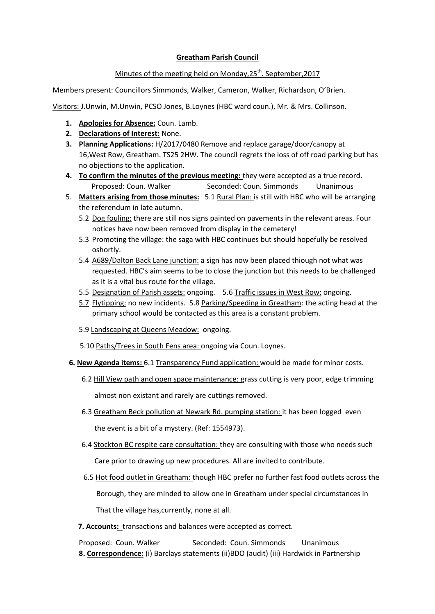## **Greatham Parish Council**

## Minutes of the meeting held on Monday, 25<sup>th</sup>. September, 2017

Members present: Councillors Simmonds, Walker, Cameron, Walker, Richardson, O'Brien.

Visitors: J.Unwin, M.Unwin, PCSO Jones, B.Loynes (HBC ward coun.), Mr. & Mrs. Collinson.

- **1. Apologies for Absence:** Coun. Lamb.
- **2. Declarations of Interest:** None.
- **3. Planning Applications:** H/2017/0480 Remove and replace garage/door/canopy at 16,West Row, Greatham. TS25 2HW. The council regrets the loss of off road parking but has no objections to the application.
- **4. To confirm the minutes of the previous meeting:** they were accepted as a true record. Proposed: Coun. Walker Seconded: Coun. Simmonds Unanimous
- 5. **Matters arising from those minutes:** 5.1 Rural Plan: is still with HBC who will be arranging the referendum in late autumn.
	- 5.2 Dog fouling: there are still nos signs painted on pavements in the relevant areas. Four notices have now been removed from display in the cemetery!
	- 5.3 Promoting the village: the saga with HBC continues but should hopefully be resolved oshortly.
	- 5.4 A689/Dalton Back Lane junction: a sign has now been placed thiough not what was requested. HBC's aim seems to be to close the junction but this needs to be challenged as it is a vital bus route for the village.
	- 5.5 Designation of Parish assets: ongoing. 5.6 Traffic issues in West Row: ongoing.
	- 5.7 Flytipping: no new incidents. 5.8 Parking/Speeding in Greatham: the acting head at the primary school would be contacted as this area is a constant problem.
	- 5.9 Landscaping at Queens Meadow: ongoing.
	- 5.10 Paths/Trees in South Fens area: ongoing via Coun. Loynes.
- **6. New Agenda items:** 6.1 Transparency Fund application: would be made for minor costs.
	- 6.2 Hill View path and open space maintenance: grass cutting is very poor, edge trimming almost non existant and rarely are cuttings removed.
	- 6.3 Greatham Beck pollution at Newark Rd. pumping station: it has been logged even the event is a bit of a mystery. (Ref: 1554973).
	- 6.4 Stockton BC respite care consultation: they are consulting with those who needs such Care prior to drawing up new procedures. All are invited to contribute.
	- 6.5 Hot food outlet in Greatham: though HBC prefer no further fast food outlets across the Borough, they are minded to allow one in Greatham under special circumstances in

That the village has,currently, none at all.

 **7. Accounts:** transactions and balances were accepted as correct.

Proposed: Coun. Walker Seconded: Coun. Simmonds Unanimous **8. Correspondence:** (i) Barclays statements (ii)BDO (audit) (iii) Hardwick in Partnership